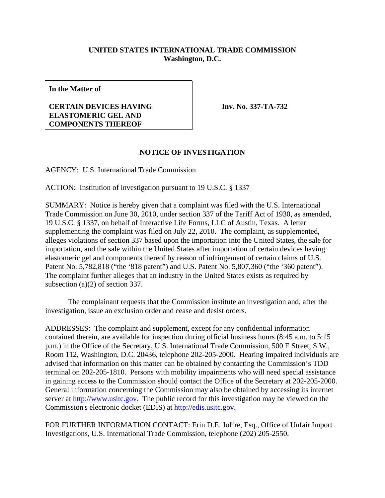## **UNITED STATES INTERNATIONAL TRADE COMMISSION Washington, D.C.**

**In the Matter of**

## **CERTAIN DEVICES HAVING ELASTOMERIC GEL AND COMPONENTS THEREOF**

**Inv. No. 337-TA-732**

## **NOTICE OF INVESTIGATION**

AGENCY: U.S. International Trade Commission

ACTION: Institution of investigation pursuant to 19 U.S.C. § 1337

SUMMARY: Notice is hereby given that a complaint was filed with the U.S. International Trade Commission on June 30, 2010, under section 337 of the Tariff Act of 1930, as amended, 19 U.S.C. § 1337, on behalf of Interactive Life Forms, LLC of Austin, Texas. A letter supplementing the complaint was filed on July 22, 2010. The complaint, as supplemented, alleges violations of section 337 based upon the importation into the United States, the sale for importation, and the sale within the United States after importation of certain devices having elastomeric gel and components thereof by reason of infringement of certain claims of U.S. Patent No. 5,782,818 ("the '818 patent") and U.S. Patent No. 5,807,360 ("the '360 patent"). The complaint further alleges that an industry in the United States exists as required by subsection (a)(2) of section 337.

The complainant requests that the Commission institute an investigation and, after the investigation, issue an exclusion order and cease and desist orders.

ADDRESSES: The complaint and supplement, except for any confidential information contained therein, are available for inspection during official business hours (8:45 a.m. to 5:15 p.m.) in the Office of the Secretary, U.S. International Trade Commission, 500 E Street, S.W., Room 112, Washington, D.C. 20436, telephone 202-205-2000. Hearing impaired individuals are advised that information on this matter can be obtained by contacting the Commission's TDD terminal on 202-205-1810. Persons with mobility impairments who will need special assistance in gaining access to the Commission should contact the Office of the Secretary at 202-205-2000. General information concerning the Commission may also be obtained by accessing its internet server at http://www.usitc.gov. The public record for this investigation may be viewed on the Commission's electronic docket (EDIS) at http://edis.usitc.gov.

FOR FURTHER INFORMATION CONTACT: Erin D.E. Joffre, Esq., Office of Unfair Import Investigations, U.S. International Trade Commission, telephone (202) 205-2550.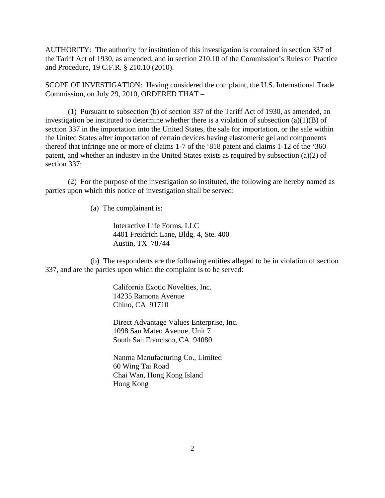AUTHORITY: The authority for institution of this investigation is contained in section 337 of the Tariff Act of 1930, as amended, and in section 210.10 of the Commission's Rules of Practice and Procedure, 19 C.F.R. § 210.10 (2010).

SCOPE OF INVESTIGATION: Having considered the complaint, the U.S. International Trade Commission, on July 29, 2010, ORDERED THAT –

(1) Pursuant to subsection (b) of section 337 of the Tariff Act of 1930, as amended, an investigation be instituted to determine whether there is a violation of subsection  $(a)(1)(B)$  of section 337 in the importation into the United States, the sale for importation, or the sale within the United States after importation of certain devices having elastomeric gel and components thereof that infringe one or more of claims 1-7 of the '818 patent and claims 1-12 of the '360 patent, and whether an industry in the United States exists as required by subsection (a)(2) of section 337:

(2) For the purpose of the investigation so instituted, the following are hereby named as parties upon which this notice of investigation shall be served:

(a) The complainant is:

Interactive Life Forms, LLC 4401 Freidrich Lane, Bldg. 4, Ste. 400 Austin, TX 78744

(b) The respondents are the following entities alleged to be in violation of section 337, and are the parties upon which the complaint is to be served:

> California Exotic Novelties, Inc. 14235 Ramona Avenue Chino, CA 91710

Direct Advantage Values Enterprise, Inc. 1098 San Mateo Avenue, Unit 7 South San Francisco, CA 94080

Nanma Manufacturing Co., Limited 60 Wing Tai Road Chai Wan, Hong Kong Island Hong Kong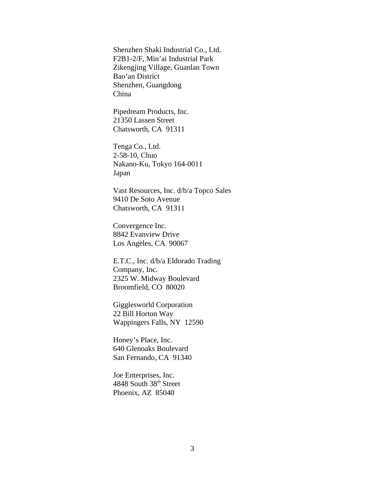Shenzhen Shaki Industrial Co., Ltd. F2B1-2/F, Min'ai Industrial Park Zikengjing Village, Guanlan Town Bao'an District Shenzhen, Guangdong China

Pipedream Products, Inc. 21350 Lassen Street Chatsworth, CA 91311

Tenga Co., Ltd. 2-58-10, Chuo Nakano-Ku, Tokyo 164-0011 Japan

Vast Resources, Inc. d/b/a Topco Sales 9410 De Soto Avenue Chatsworth, CA 91311

Convergence Inc. 8842 Evanview Drive Los Angeles, CA 90067

E.T.C., Inc. d/b/a Eldorado Trading Company, Inc. 2325 W. Midway Boulevard Broomfield, CO 80020

Gigglesworld Corporation 22 Bill Horton Way Wappingers Falls, NY 12590

Honey's Place, Inc. 640 Glenoaks Boulevard San Fernando, CA 91340

Joe Enterprises, Inc. 4848 South 38<sup>th</sup> Street Phoenix, AZ 85040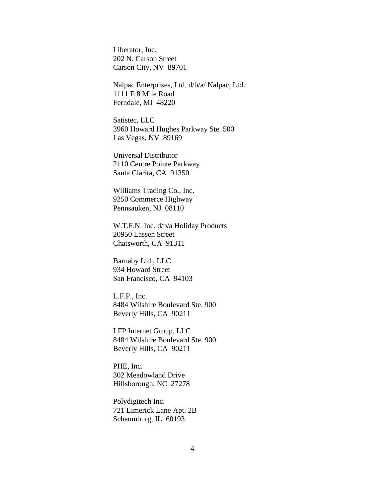Liberator, Inc. 202 N. Carson Street Carson City, NV 89701

Nalpac Enterprises, Ltd. d/b/a/ Nalpac, Ltd. 1111 E 8 Mile Road Ferndale, MI 48220

Satistec, LLC 3960 Howard Hughes Parkway Ste. 500 Las Vegas, NV 89169

Universal Distributor 2110 Centre Pointe Parkway Santa Clarita, CA 91350

Williams Trading Co., Inc. 9250 Commerce Highway Pennsauken, NJ 08110

W.T.F.N. Inc. d/b/a Holiday Products 20950 Lassen Street Chatsworth, CA 91311

Barnaby Ltd., LLC 934 Howard Street San Francisco, CA 94103

L.F.P., Inc. 8484 Wilshire Boulevard Ste. 900 Beverly Hills, CA 90211

LFP Internet Group, LLC 8484 Wilshire Boulevard Ste. 900 Beverly Hills, CA 90211

PHE, Inc. 302 Meadowland Drive Hillsborough, NC 27278

Polydigitech Inc. 721 Limerick Lane Apt. 2B Schaumburg, IL 60193